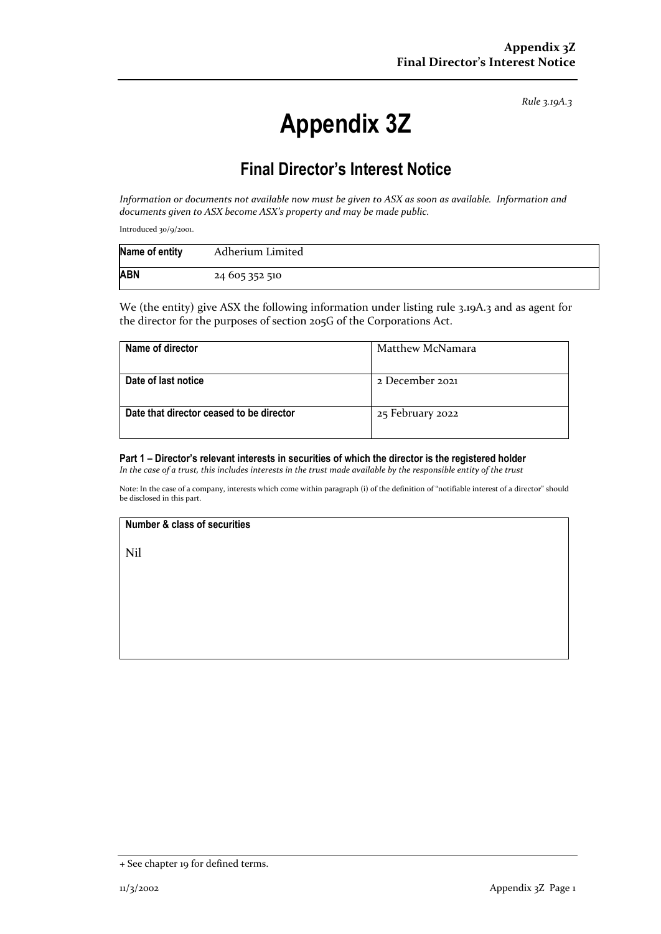*Rule 3.19A.3*

# **Appendix 3Z**

# **Final Director's Interest Notice**

*Information or documents not available now must be given to ASX as soon as available. Information and documents given to ASX become ASX's property and may be made public.*

Introduced 30/9/2001.

| Name of entity | Adherium Limited |
|----------------|------------------|
| <b>ABN</b>     | 24 605 352 510   |

We (the entity) give ASX the following information under listing rule 3.19A.3 and as agent for the director for the purposes of section 205G of the Corporations Act.

| Name of director                         | Matthew McNamara |
|------------------------------------------|------------------|
| Date of last notice                      | 2 December 2021  |
|                                          |                  |
| Date that director ceased to be director | 25 February 2022 |
|                                          |                  |

#### **Part 1 – Director's relevant interests in securities of which the director is the registered holder**

*In the case of a trust, this includes interests in the trust made available by the responsible entity of the trust*

Note: In the case of a company, interests which come within paragraph (i) of the definition of "notifiable interest of a director" should be disclosed in this part.

### **Number & class of securities**

Nil

<sup>+</sup> See chapter 19 for defined terms.